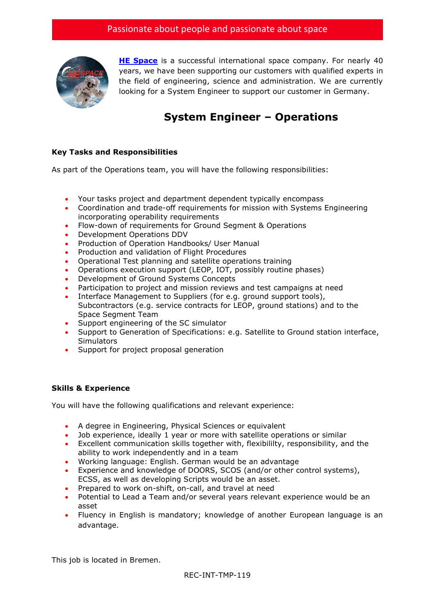

**[HE Space](http://www.hespace.com/)** is a successful international space company. For nearly 40 years, we have been supporting our customers with qualified experts in the field of engineering, science and administration. We are currently looking for a System Engineer to support our customer in Germany.

## **System Engineer – Operations**

## **Key Tasks and Responsibilities**

As part of the Operations team, you will have the following responsibilities:

- Your tasks project and department dependent typically encompass
- Coordination and trade-off requirements for mission with Systems Engineering incorporating operability requirements
- Flow-down of requirements for Ground Segment & Operations
- Development Operations DDV
- Production of Operation Handbooks/ User Manual
- Production and validation of Flight Procedures
- Operational Test planning and satellite operations training
- Operations execution support (LEOP, IOT, possibly routine phases)
- Development of Ground Systems Concepts
- Participation to project and mission reviews and test campaigns at need
- Interface Management to Suppliers (for e.g. ground support tools), Subcontractors (e.g. service contracts for LEOP, ground stations) and to the Space Segment Team
- Support engineering of the SC simulator
- Support to Generation of Specifications: e.g. Satellite to Ground station interface, **Simulators**
- Support for project proposal generation

## **Skills & Experience**

You will have the following qualifications and relevant experience:

- A degree in Engineering, Physical Sciences or equivalent
- Job experience, ideally 1 year or more with satellite operations or similar
- Excellent communication skills together with, flexibililty, responsibility, and the ability to work independently and in a team
- Working language: English. German would be an advantage
- Experience and knowledge of DOORS, SCOS (and/or other control systems), ECSS, as well as developing Scripts would be an asset.
- Prepared to work on-shift, on-call, and travel at need
- Potential to Lead a Team and/or several years relevant experience would be an asset
- Fluency in English is mandatory; knowledge of another European language is an advantage.

This job is located in Bremen.